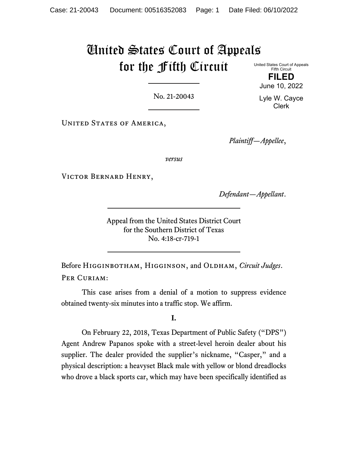# United States Court of Appeals for the Fifth Circuit United States Court of Appeals

Fifth Circuit **FILED** June 10, 2022

No. 21-20043

UNITED STATES OF AMERICA,

*Plaintiff—Appellee*,

*versus*

Victor Bernard Henry,

*Defendant—Appellant*.

Appeal from the United States District Court for the Southern District of Texas No. 4:18-cr-719-1

Before Higginbotham, Higginson, and Oldham, *Circuit Judges*. PER CURIAM:

This case arises from a denial of a motion to suppress evidence obtained twenty-six minutes into a traffic stop. We affirm.

## **I.**

On February 22, 2018, Texas Department of Public Safety ("DPS") Agent Andrew Papanos spoke with a street-level heroin dealer about his supplier. The dealer provided the supplier's nickname, "Casper," and a physical description: a heavyset Black male with yellow or blond dreadlocks who drove a black sports car, which may have been specifically identified as

Lyle W. Cayce Clerk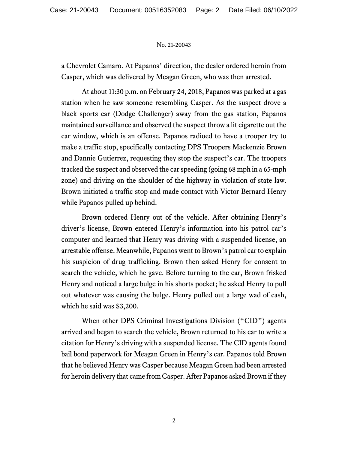a Chevrolet Camaro. At Papanos' direction, the dealer ordered heroin from Casper, which was delivered by Meagan Green, who was then arrested.

At about 11:30 p.m. on February 24, 2018, Papanos was parked at a gas station when he saw someone resembling Casper. As the suspect drove a black sports car (Dodge Challenger) away from the gas station, Papanos maintained surveillance and observed the suspect throw a lit cigarette out the car window, which is an offense. Papanos radioed to have a trooper try to make a traffic stop, specifically contacting DPS Troopers Mackenzie Brown and Dannie Gutierrez, requesting they stop the suspect's car. The troopers tracked the suspect and observed the car speeding (going 68 mph in a 65-mph zone) and driving on the shoulder of the highway in violation of state law. Brown initiated a traffic stop and made contact with Victor Bernard Henry while Papanos pulled up behind.

Brown ordered Henry out of the vehicle. After obtaining Henry's driver's license, Brown entered Henry's information into his patrol car's computer and learned that Henry was driving with a suspended license, an arrestable offense. Meanwhile, Papanos went to Brown's patrol car to explain his suspicion of drug trafficking. Brown then asked Henry for consent to search the vehicle, which he gave. Before turning to the car, Brown frisked Henry and noticed a large bulge in his shorts pocket; he asked Henry to pull out whatever was causing the bulge. Henry pulled out a large wad of cash, which he said was \$3,200.

When other DPS Criminal Investigations Division ("CID") agents arrived and began to search the vehicle, Brown returned to his car to write a citation for Henry's driving with a suspended license. The CID agents found bail bond paperwork for Meagan Green in Henry's car. Papanos told Brown that he believed Henry was Casper because Meagan Green had been arrested for heroin delivery that came from Casper. After Papanos asked Brown if they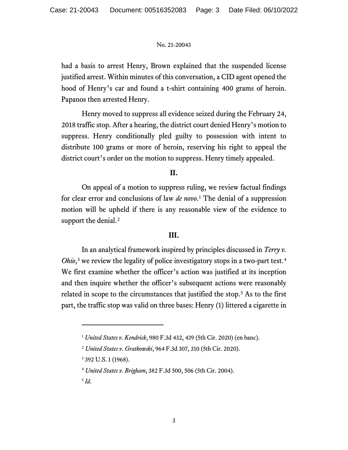had a basis to arrest Henry, Brown explained that the suspended license justified arrest. Within minutes of this conversation, a CID agent opened the hood of Henry's car and found a t-shirt containing 400 grams of heroin. Papanos then arrested Henry.

Henry moved to suppress all evidence seized during the February 24, 2018 traffic stop. After a hearing, the district court denied Henry's motion to suppress. Henry conditionally pled guilty to possession with intent to distribute 100 grams or more of heroin, reserving his right to appeal the district court's order on the motion to suppress. Henry timely appealed.

## **II.**

On appeal of a motion to suppress ruling, we review factual findings for clear error and conclusions of law *de novo*. [1](#page-2-0) The denial of a suppression motion will be upheld if there is any reasonable view of the evidence to support the denial.<sup>[2](#page-2-1)</sup>

## **III.**

In an analytical framework inspired by principles discussed in *Terry v. Ohio*,<sup>[3](#page-2-2)</sup> we review the legality of police investigatory stops in a two-part test.<sup>[4](#page-2-3)</sup> We first examine whether the officer's action was justified at its inception and then inquire whether the officer's subsequent actions were reasonably related in scope to the circumstances that justified the stop.<sup>[5](#page-2-4)</sup> As to the first part, the traffic stop was valid on three bases: Henry (1) littered a cigarette in

<span id="page-2-4"></span> $^5$  *Id.* 

<span id="page-2-0"></span><sup>1</sup> *United States v. Kendrick*, 980 F.3d 432, 439 (5th Cir. 2020) (en banc).

<span id="page-2-1"></span><sup>2</sup> *United States v. Gratkowski*, 964 F.3d 307, 310 (5th Cir. 2020).

<span id="page-2-2"></span><sup>3</sup> 392 U.S. 1 (1968).

<span id="page-2-3"></span><sup>4</sup> *United States v. Brigham*, 382 F.3d 500, 506 (5th Cir. 2004).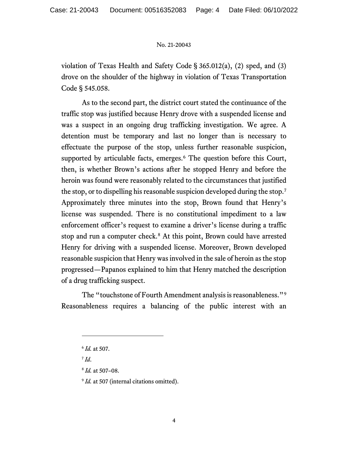violation of Texas Health and Safety Code § 365.012(a), (2) sped, and (3) drove on the shoulder of the highway in violation of Texas Transportation Code § 545.058.

As to the second part, the district court stated the continuance of the traffic stop was justified because Henry drove with a suspended license and was a suspect in an ongoing drug trafficking investigation. We agree. A detention must be temporary and last no longer than is necessary to effectuate the purpose of the stop, unless further reasonable suspicion, supported by articulable facts, emerges.<sup>[6](#page-3-0)</sup> The question before this Court, then, is whether Brown's actions after he stopped Henry and before the heroin was found were reasonably related to the circumstances that justified the stop, or to dispelling his reasonable suspicion developed during the stop.[7](#page-3-1) Approximately three minutes into the stop, Brown found that Henry's license was suspended. There is no constitutional impediment to a law enforcement officer's request to examine a driver's license during a traffic stop and run a computer check.<sup>[8](#page-3-2)</sup> At this point, Brown could have arrested Henry for driving with a suspended license. Moreover, Brown developed reasonable suspicion that Henry was involved in the sale of heroin as the stop progressed—Papanos explained to him that Henry matched the description of a drug trafficking suspect.

The "touchstone of Fourth Amendment analysis is reasonableness."[9](#page-3-3) Reasonableness requires a balancing of the public interest with an

<span id="page-3-1"></span> $^7$ *Id.* 

<span id="page-3-3"></span><sup>9</sup> *Id.* at 507 (internal citations omitted).

<span id="page-3-0"></span><sup>6</sup> *Id.* at 507.

<span id="page-3-2"></span><sup>8</sup> *Id.* at 507–08.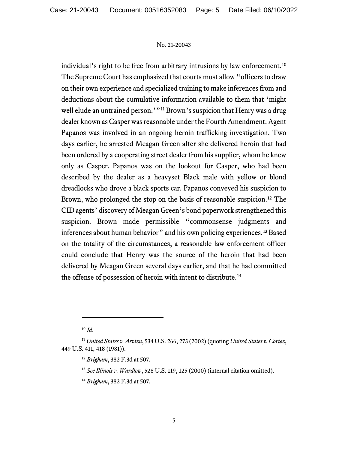individual's right to be free from arbitrary intrusions by law enforcement.<sup>[10](#page-4-0)</sup> The Supreme Court has emphasized that courts must allow "officers to draw on their own experience and specialized training to make inferences from and deductions about the cumulative information available to them that 'might well elude an untrained person.'"<sup>[11](#page-4-1)</sup> Brown's suspicion that Henry was a drug dealer known as Casper was reasonable under the Fourth Amendment. Agent Papanos was involved in an ongoing heroin trafficking investigation. Two days earlier, he arrested Meagan Green after she delivered heroin that had been ordered by a cooperating street dealer from his supplier, whom he knew only as Casper. Papanos was on the lookout for Casper, who had been described by the dealer as a heavyset Black male with yellow or blond dreadlocks who drove a black sports car. Papanos conveyed his suspicion to Brown, who prolonged the stop on the basis of reasonable suspicion.<sup>[12](#page-4-2)</sup> The CID agents' discovery of Meagan Green's bond paperwork strengthened this suspicion. Brown made permissible "commonsense judgments and inferences about human behavior" and his own policing experiences.[13](#page-4-3) Based on the totality of the circumstances, a reasonable law enforcement officer could conclude that Henry was the source of the heroin that had been delivered by Meagan Green several days earlier, and that he had committed the offense of possession of heroin with intent to distribute.[14](#page-4-4)

 $10 \, \text{Id}$ .

<span id="page-4-4"></span><span id="page-4-3"></span><span id="page-4-2"></span><span id="page-4-1"></span><span id="page-4-0"></span><sup>11</sup> *United States v. Arvizu*, 534 U.S. 266, 273 (2002) (quoting *United States v. Cortez*, 449 U.S. 411, 418 (1981)).

<sup>12</sup> *Brigham*, 382 F.3d at 507.

<sup>13</sup> *See Illinois v. Wardlow*, 528 U.S. 119, 125 (2000) (internal citation omitted).

<sup>14</sup> *Brigham*, 382 F.3d at 507.